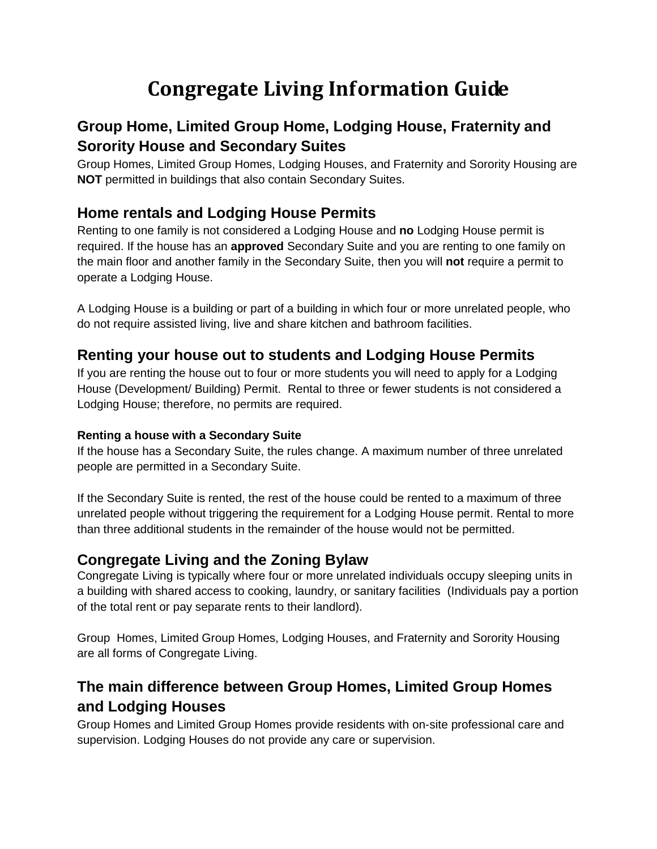# **Congregate Living Information Guide**

# **Group Home, Limited Group Home, Lodging House, Fraternity and Sorority House and Secondary Suites**

Group Homes, Limited Group Homes, Lodging Houses, and Fraternity and Sorority Housing are **NOT** permitted in buildings that also contain Secondary Suites.

### **Home rentals and Lodging House Permits**

Renting to one family is not considered a Lodging House and **no** Lodging House permit is required. If the house has an **approved** Secondary Suite and you are renting to one family on the main floor and another family in the Secondary Suite, then you will **not** require a permit to operate a Lodging House.

A Lodging House is a building or part of a building in which four or more unrelated people, who do not require assisted living, live and share kitchen and bathroom facilities.

### **Renting your house out to students and Lodging House Permits**

If you are renting the house out to four or more students you will need to apply for a Lodging House (Development/ Building) Permit. Rental to three or fewer students is not considered a Lodging House; therefore, no permits are required.

#### **Renting a house with a Secondary Suite**

If the house has a Secondary Suite, the rules change. A maximum number of three unrelated people are permitted in a Secondary Suite.

If the Secondary Suite is rented, the rest of the house could be rented to a maximum of three unrelated people without triggering the requirement for a Lodging House permit. Rental to more than three additional students in the remainder of the house would not be permitted.

### **Congregate Living and the Zoning Bylaw**

Congregate Living is typically where four or more unrelated individuals occupy sleeping units in a building with shared access to cooking, laundry, or sanitary facilities (Individuals pay a portion of the total rent or pay separate rents to their landlord).

Group Homes, Limited Group Homes, Lodging Houses, and Fraternity and Sorority Housing are all forms of Congregate Living.

# **The main difference between Group Homes, Limited Group Homes and Lodging Houses**

Group Homes and Limited Group Homes provide residents with on-site professional care and supervision. Lodging Houses do not provide any care or supervision.